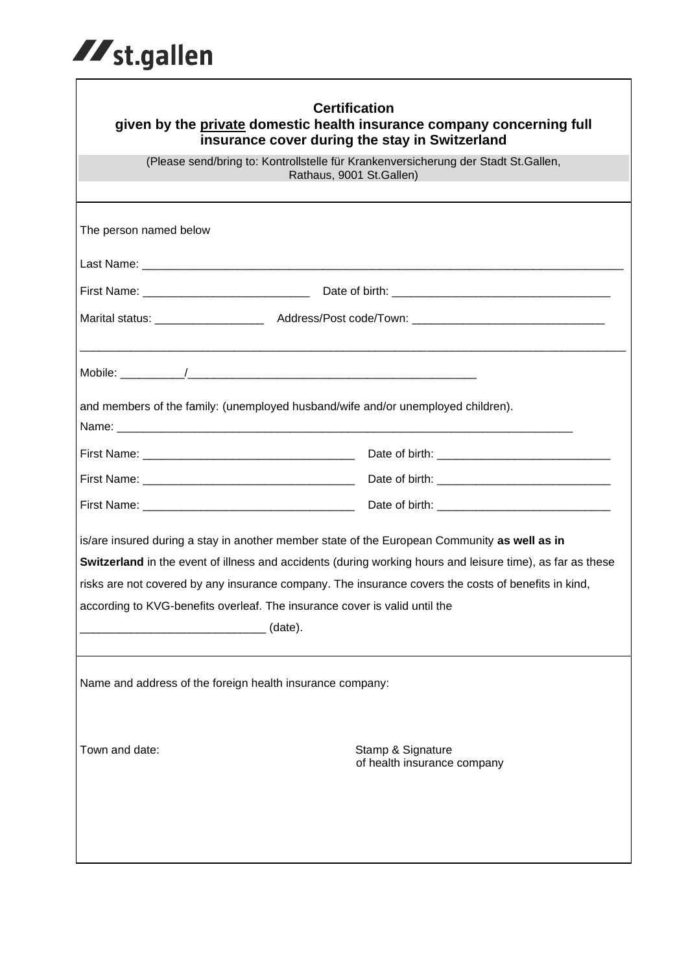# //st.gallen

 $\overline{\Gamma}$ 

| <b>Certification</b><br>given by the private domestic health insurance company concerning full<br>insurance cover during the stay in Switzerland                                                                                                                                                                                                                                                           |                                                  |
|------------------------------------------------------------------------------------------------------------------------------------------------------------------------------------------------------------------------------------------------------------------------------------------------------------------------------------------------------------------------------------------------------------|--------------------------------------------------|
| (Please send/bring to: Kontrollstelle für Krankenversicherung der Stadt St.Gallen,<br>Rathaus, 9001 St.Gallen)                                                                                                                                                                                                                                                                                             |                                                  |
|                                                                                                                                                                                                                                                                                                                                                                                                            |                                                  |
| The person named below                                                                                                                                                                                                                                                                                                                                                                                     |                                                  |
|                                                                                                                                                                                                                                                                                                                                                                                                            |                                                  |
|                                                                                                                                                                                                                                                                                                                                                                                                            |                                                  |
| Marital status: ___________________________Address/Post code/Town: _________________________________                                                                                                                                                                                                                                                                                                       |                                                  |
|                                                                                                                                                                                                                                                                                                                                                                                                            |                                                  |
| and members of the family: (unemployed husband/wife and/or unemployed children).                                                                                                                                                                                                                                                                                                                           |                                                  |
|                                                                                                                                                                                                                                                                                                                                                                                                            |                                                  |
|                                                                                                                                                                                                                                                                                                                                                                                                            |                                                  |
|                                                                                                                                                                                                                                                                                                                                                                                                            |                                                  |
| is/are insured during a stay in another member state of the European Community as well as in<br>Switzerland in the event of illness and accidents (during working hours and leisure time), as far as these<br>risks are not covered by any insurance company. The insurance covers the costs of benefits in kind,<br>according to KVG-benefits overleaf. The insurance cover is valid until the<br>(date). |                                                  |
| Name and address of the foreign health insurance company:                                                                                                                                                                                                                                                                                                                                                  |                                                  |
| Town and date:                                                                                                                                                                                                                                                                                                                                                                                             | Stamp & Signature<br>of health insurance company |
|                                                                                                                                                                                                                                                                                                                                                                                                            |                                                  |